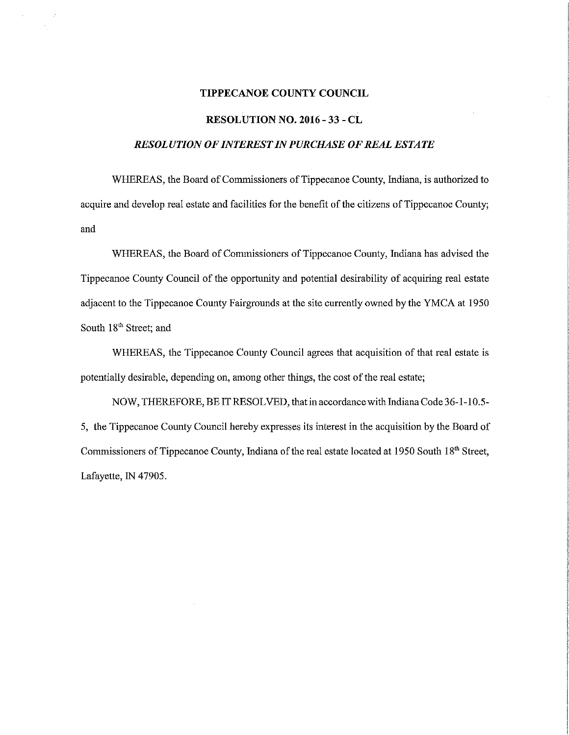## TIPPECANOE COUNTY COUNCIL

## RESOLUTION NO. 2016 - 33 - CL

## RESOLUTION OF INTEREST IN PURCHASE OF REAL ESTATE

WHEREAS, the Board of Commissioners of Tippecanoe County, Indiana, is authorized to acquire and develop real estate and facilities for the benefit of the citizens of Tippecanoe County; and

WHEREAS, the Board of Commissioners of Tippecanoe County, Indiana has advised the Tippecanoe County Council of the opportunity and potential desirability of acquiring real estate adjacent to the Tippecanoe County Fairgrounds at the site currently owned by the YMCA at 1950 South 18<sup>th</sup> Street; and

WHEREAS, the Tippecanoe County Council agrees that acquisition of that real estate is potentially desirable, depending on, among other things, the cost of the real estate;

NOW, THEREFORE, BE IT RESOLVED, that in accordance with Indiana Code 36—1—105- 5, the Tippecanoe County Council hereby expresses its interest in the acquisition by the Board of Commissioners of Tippecanoe County, Indiana of the real estate located at 1950 South 18<sup>th</sup> Street, Lafayette, IN 47905.